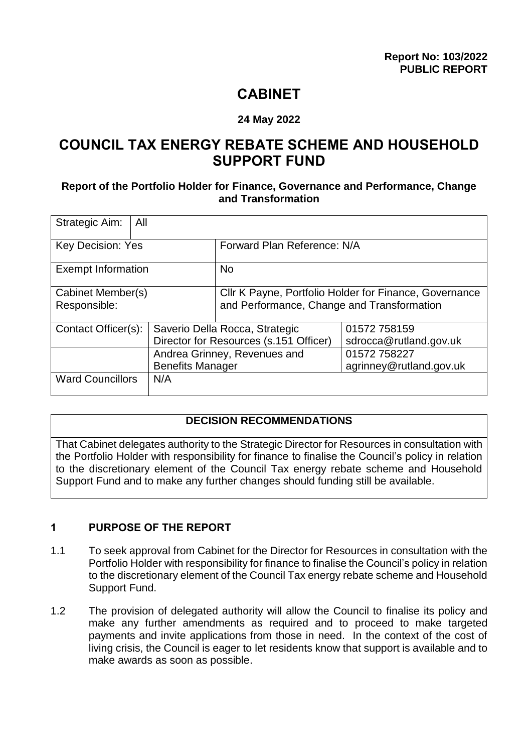# **CABINET**

### **24 May 2022**

# **COUNCIL TAX ENERGY REBATE SCHEME AND HOUSEHOLD SUPPORT FUND**

#### **Report of the Portfolio Holder for Finance, Governance and Performance, Change and Transformation**

| Strategic Aim:<br>All             |                                                                          |                                                                                                      |                                         |  |
|-----------------------------------|--------------------------------------------------------------------------|------------------------------------------------------------------------------------------------------|-----------------------------------------|--|
| <b>Key Decision: Yes</b>          |                                                                          | Forward Plan Reference: N/A                                                                          |                                         |  |
| <b>Exempt Information</b>         |                                                                          | <b>No</b>                                                                                            |                                         |  |
| Cabinet Member(s)<br>Responsible: |                                                                          | Cllr K Payne, Portfolio Holder for Finance, Governance<br>and Performance, Change and Transformation |                                         |  |
| Contact Officer(s):               | Saverio Della Rocca, Strategic<br>Director for Resources (s.151 Officer) |                                                                                                      | 01572 758159<br>sdrocca@rutland.gov.uk  |  |
|                                   | Andrea Grinney, Revenues and<br><b>Benefits Manager</b>                  |                                                                                                      | 01572 758227<br>agrinney@rutland.gov.uk |  |
| <b>Ward Councillors</b>           | N/A                                                                      |                                                                                                      |                                         |  |

# **DECISION RECOMMENDATIONS**

That Cabinet delegates authority to the Strategic Director for Resources in consultation with the Portfolio Holder with responsibility for finance to finalise the Council's policy in relation to the discretionary element of the Council Tax energy rebate scheme and Household Support Fund and to make any further changes should funding still be available.

# **1 PURPOSE OF THE REPORT**

- 1.1 To seek approval from Cabinet for the Director for Resources in consultation with the Portfolio Holder with responsibility for finance to finalise the Council's policy in relation to the discretionary element of the Council Tax energy rebate scheme and Household Support Fund.
- 1.2 The provision of delegated authority will allow the Council to finalise its policy and make any further amendments as required and to proceed to make targeted payments and invite applications from those in need. In the context of the cost of living crisis, the Council is eager to let residents know that support is available and to make awards as soon as possible.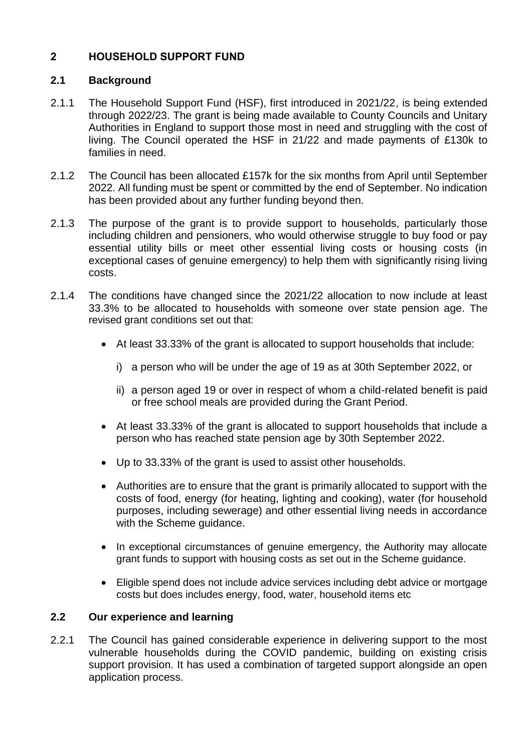# **2 HOUSEHOLD SUPPORT FUND**

# **2.1 Background**

- 2.1.1 The Household Support Fund (HSF), first introduced in 2021/22, is being extended through 2022/23. The grant is being made available to County Councils and Unitary Authorities in England to support those most in need and struggling with the cost of living. The Council operated the HSF in 21/22 and made payments of £130k to families in need.
- 2.1.2 The Council has been allocated £157k for the six months from April until September 2022. All funding must be spent or committed by the end of September. No indication has been provided about any further funding beyond then.
- 2.1.3 The purpose of the grant is to provide support to households, particularly those including children and pensioners, who would otherwise struggle to buy food or pay essential utility bills or meet other essential living costs or housing costs (in exceptional cases of genuine emergency) to help them with significantly rising living costs.
- 2.1.4 The conditions have changed since the 2021/22 allocation to now include at least 33.3% to be allocated to households with someone over state pension age. The revised grant conditions set out that:
	- At least 33.33% of the grant is allocated to support households that include:
		- i) a person who will be under the age of 19 as at 30th September 2022, or
		- ii) a person aged 19 or over in respect of whom a child-related benefit is paid or free school meals are provided during the Grant Period.
	- At least 33.33% of the grant is allocated to support households that include a person who has reached state pension age by 30th September 2022.
	- Up to 33.33% of the grant is used to assist other households.
	- Authorities are to ensure that the grant is primarily allocated to support with the costs of food, energy (for heating, lighting and cooking), water (for household purposes, including sewerage) and other essential living needs in accordance with the Scheme guidance.
	- In exceptional circumstances of genuine emergency, the Authority may allocate grant funds to support with housing costs as set out in the Scheme guidance.
	- Eligible spend does not include advice services including debt advice or mortgage costs but does includes energy, food, water, household items etc

# **2.2 Our experience and learning**

2.2.1 The Council has gained considerable experience in delivering support to the most vulnerable households during the COVID pandemic, building on existing crisis support provision. It has used a combination of targeted support alongside an open application process.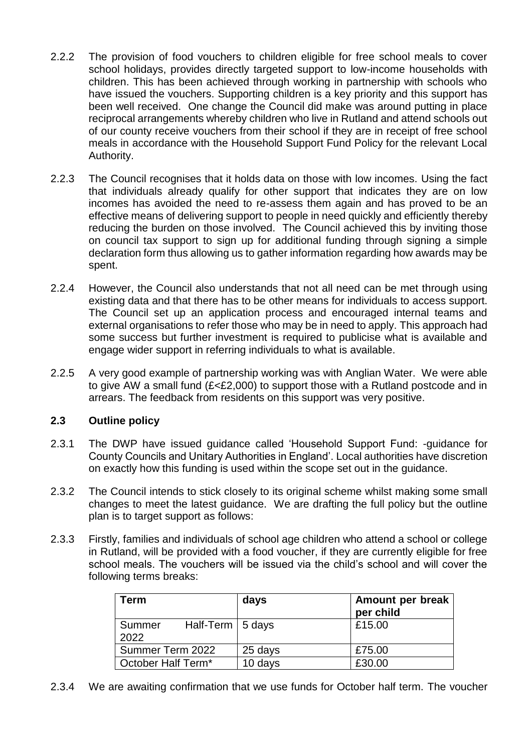- 2.2.2 The provision of food vouchers to children eligible for free school meals to cover school holidays, provides directly targeted support to low-income households with children. This has been achieved through working in partnership with schools who have issued the vouchers. Supporting children is a key priority and this support has been well received. One change the Council did make was around putting in place reciprocal arrangements whereby children who live in Rutland and attend schools out of our county receive vouchers from their school if they are in receipt of free school meals in accordance with the Household Support Fund Policy for the relevant Local Authority.
- 2.2.3 The Council recognises that it holds data on those with low incomes. Using the fact that individuals already qualify for other support that indicates they are on low incomes has avoided the need to re-assess them again and has proved to be an effective means of delivering support to people in need quickly and efficiently thereby reducing the burden on those involved. The Council achieved this by inviting those on council tax support to sign up for additional funding through signing a simple declaration form thus allowing us to gather information regarding how awards may be spent.
- 2.2.4 However, the Council also understands that not all need can be met through using existing data and that there has to be other means for individuals to access support. The Council set up an application process and encouraged internal teams and external organisations to refer those who may be in need to apply. This approach had some success but further investment is required to publicise what is available and engage wider support in referring individuals to what is available.
- 2.2.5 A very good example of partnership working was with Anglian Water. We were able to give AW a small fund (£<£2,000) to support those with a Rutland postcode and in arrears. The feedback from residents on this support was very positive.

# **2.3 Outline policy**

- 2.3.1 The DWP have issued guidance called 'Household Support Fund: -guidance for County Councils and Unitary Authorities in England'. Local authorities have discretion on exactly how this funding is used within the scope set out in the guidance.
- 2.3.2 The Council intends to stick closely to its original scheme whilst making some small changes to meet the latest guidance. We are drafting the full policy but the outline plan is to target support as follows:
- 2.3.3 Firstly, families and individuals of school age children who attend a school or college in Rutland, will be provided with a food voucher, if they are currently eligible for free school meals. The vouchers will be issued via the child's school and will cover the following terms breaks:

| Term               |                          | days    | Amount per break<br>per child |
|--------------------|--------------------------|---------|-------------------------------|
| Summer<br>2022     | Half-Term $\vert$ 5 days |         | £15.00                        |
| Summer Term 2022   |                          | 25 days | £75.00                        |
| October Half Term* |                          | 10 days | £30.00                        |

2.3.4 We are awaiting confirmation that we use funds for October half term. The voucher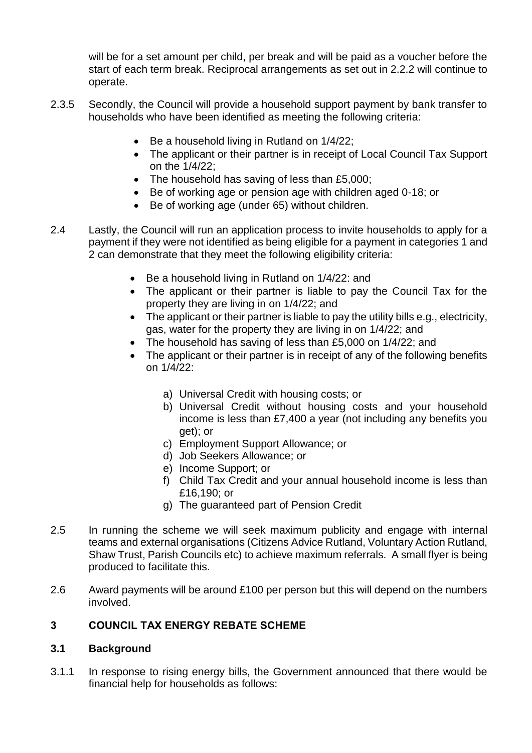will be for a set amount per child, per break and will be paid as a voucher before the start of each term break. Reciprocal arrangements as set out in 2.2.2 will continue to operate.

- 2.3.5 Secondly, the Council will provide a household support payment by bank transfer to households who have been identified as meeting the following criteria:
	- Be a household living in Rutland on 1/4/22;
	- The applicant or their partner is in receipt of Local Council Tax Support on the 1/4/22;
	- The household has saving of less than £5,000;
	- Be of working age or pension age with children aged 0-18; or
	- Be of working age (under 65) without children.
- 2.4 Lastly, the Council will run an application process to invite households to apply for a payment if they were not identified as being eligible for a payment in categories 1 and 2 can demonstrate that they meet the following eligibility criteria:
	- Be a household living in Rutland on 1/4/22: and
	- The applicant or their partner is liable to pay the Council Tax for the property they are living in on 1/4/22; and
	- The applicant or their partner is liable to pay the utility bills e.g., electricity, gas, water for the property they are living in on 1/4/22; and
	- The household has saving of less than £5,000 on 1/4/22; and
	- The applicant or their partner is in receipt of any of the following benefits on 1/4/22:
		- a) Universal Credit with housing costs; or
		- b) Universal Credit without housing costs and your household income is less than £7,400 a year (not including any benefits you get); or
		- c) Employment Support Allowance; or
		- d) Job Seekers Allowance; or
		- e) Income Support; or
		- f) Child Tax Credit and your annual household income is less than £16,190; or
		- g) The guaranteed part of Pension Credit
- 2.5 In running the scheme we will seek maximum publicity and engage with internal teams and external organisations (Citizens Advice Rutland, Voluntary Action Rutland, Shaw Trust, Parish Councils etc) to achieve maximum referrals. A small flyer is being produced to facilitate this.
- 2.6 Award payments will be around £100 per person but this will depend on the numbers involved.

# **3 COUNCIL TAX ENERGY REBATE SCHEME**

#### **3.1 Background**

3.1.1 In response to rising energy bills, the Government announced that there would be financial help for households as follows: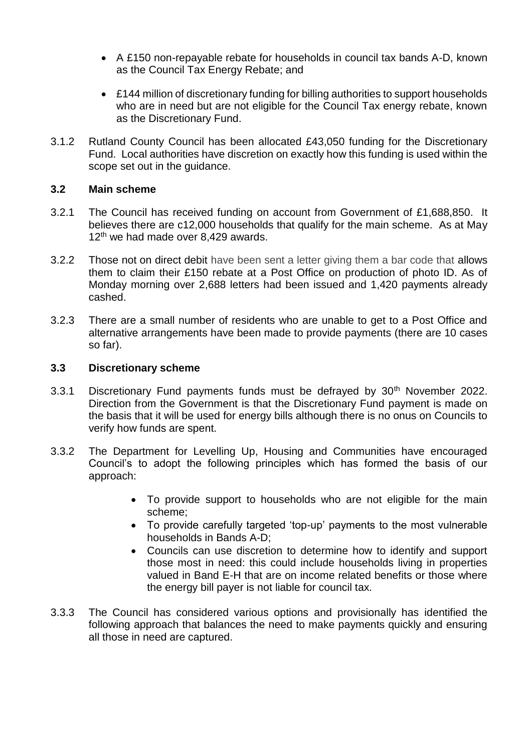- A £150 non-repayable rebate for households in council tax bands A-D, known as the Council Tax Energy Rebate; and
- £144 million of discretionary funding for billing authorities to support households who are in need but are not eligible for the Council Tax energy rebate, known as the Discretionary Fund.
- 3.1.2 Rutland County Council has been allocated £43,050 funding for the Discretionary Fund. Local authorities have discretion on exactly how this funding is used within the scope set out in the guidance.

#### **3.2 Main scheme**

- 3.2.1 The Council has received funding on account from Government of £1,688,850. It believes there are c12,000 households that qualify for the main scheme. As at May 12<sup>th</sup> we had made over 8,429 awards.
- 3.2.2 Those not on direct debit have been sent a letter giving them a bar code that allows them to claim their £150 rebate at a Post Office on production of photo ID. As of Monday morning over 2,688 letters had been issued and 1,420 payments already cashed.
- 3.2.3 There are a small number of residents who are unable to get to a Post Office and alternative arrangements have been made to provide payments (there are 10 cases so far).

#### **3.3 Discretionary scheme**

- 3.3.1 Discretionary Fund payments funds must be defrayed by 30<sup>th</sup> November 2022. Direction from the Government is that the Discretionary Fund payment is made on the basis that it will be used for energy bills although there is no onus on Councils to verify how funds are spent.
- 3.3.2 The Department for Levelling Up, Housing and Communities have encouraged Council's to adopt the following principles which has formed the basis of our approach:
	- To provide support to households who are not eligible for the main scheme;
	- To provide carefully targeted 'top-up' payments to the most vulnerable households in Bands A-D;
	- Councils can use discretion to determine how to identify and support those most in need: this could include households living in properties valued in Band E-H that are on income related benefits or those where the energy bill payer is not liable for council tax.
- 3.3.3 The Council has considered various options and provisionally has identified the following approach that balances the need to make payments quickly and ensuring all those in need are captured.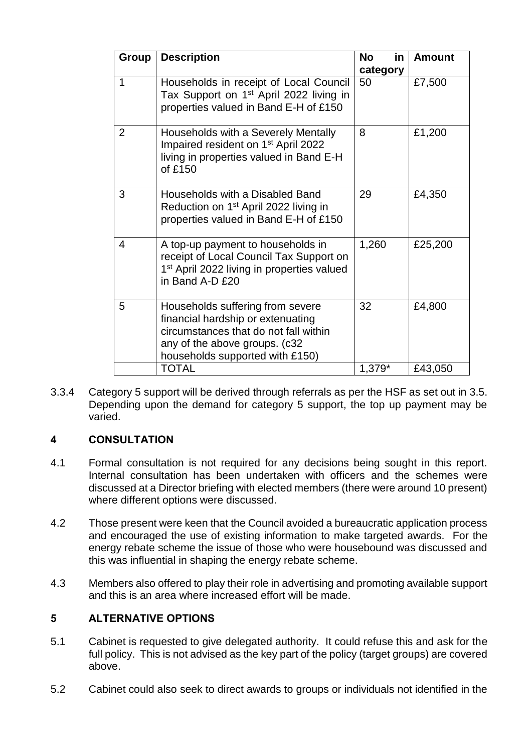| Group | <b>Description</b>                                                                                                                                                                 | in<br>No | <b>Amount</b> |
|-------|------------------------------------------------------------------------------------------------------------------------------------------------------------------------------------|----------|---------------|
|       |                                                                                                                                                                                    | category |               |
| 1     | Households in receipt of Local Council<br>Tax Support on 1 <sup>st</sup> April 2022 living in<br>properties valued in Band E-H of £150                                             | 50       | £7,500        |
| 2     | Households with a Severely Mentally<br>Impaired resident on 1 <sup>st</sup> April 2022<br>living in properties valued in Band E-H<br>of £150                                       | 8        | £1,200        |
| 3     | Households with a Disabled Band<br>Reduction on 1 <sup>st</sup> April 2022 living in<br>properties valued in Band E-H of £150                                                      | 29       | £4,350        |
| 4     | A top-up payment to households in<br>receipt of Local Council Tax Support on<br>1 <sup>st</sup> April 2022 living in properties valued<br>in Band A-D £20                          | 1,260    | £25,200       |
| 5     | Households suffering from severe<br>financial hardship or extenuating<br>circumstances that do not fall within<br>any of the above groups. (c32<br>households supported with £150) | 32       | £4,800        |
|       | <b>TOTAL</b>                                                                                                                                                                       | 1,379*   | £43,050       |

3.3.4 Category 5 support will be derived through referrals as per the HSF as set out in 3.5. Depending upon the demand for category 5 support, the top up payment may be varied.

# **4 CONSULTATION**

- 4.1 Formal consultation is not required for any decisions being sought in this report. Internal consultation has been undertaken with officers and the schemes were discussed at a Director briefing with elected members (there were around 10 present) where different options were discussed.
- 4.2 Those present were keen that the Council avoided a bureaucratic application process and encouraged the use of existing information to make targeted awards. For the energy rebate scheme the issue of those who were housebound was discussed and this was influential in shaping the energy rebate scheme.
- 4.3 Members also offered to play their role in advertising and promoting available support and this is an area where increased effort will be made.

# **5 ALTERNATIVE OPTIONS**

- 5.1 Cabinet is requested to give delegated authority. It could refuse this and ask for the full policy. This is not advised as the key part of the policy (target groups) are covered above.
- 5.2 Cabinet could also seek to direct awards to groups or individuals not identified in the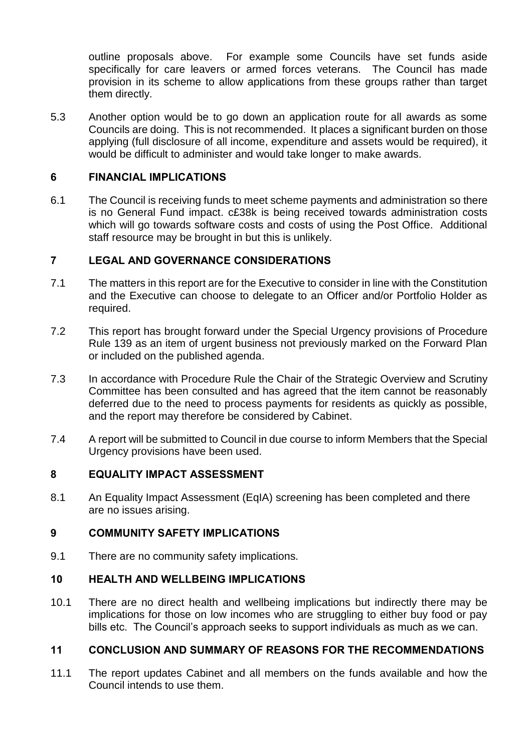outline proposals above. For example some Councils have set funds aside specifically for care leavers or armed forces veterans. The Council has made provision in its scheme to allow applications from these groups rather than target them directly.

5.3 Another option would be to go down an application route for all awards as some Councils are doing. This is not recommended. It places a significant burden on those applying (full disclosure of all income, expenditure and assets would be required), it would be difficult to administer and would take longer to make awards.

### **6 FINANCIAL IMPLICATIONS**

6.1 The Council is receiving funds to meet scheme payments and administration so there is no General Fund impact. c£38k is being received towards administration costs which will go towards software costs and costs of using the Post Office. Additional staff resource may be brought in but this is unlikely.

### **7 LEGAL AND GOVERNANCE CONSIDERATIONS**

- 7.1 The matters in this report are for the Executive to consider in line with the Constitution and the Executive can choose to delegate to an Officer and/or Portfolio Holder as required.
- 7.2 This report has brought forward under the Special Urgency provisions of Procedure Rule 139 as an item of urgent business not previously marked on the Forward Plan or included on the published agenda.
- 7.3 In accordance with Procedure Rule the Chair of the Strategic Overview and Scrutiny Committee has been consulted and has agreed that the item cannot be reasonably deferred due to the need to process payments for residents as quickly as possible, and the report may therefore be considered by Cabinet.
- 7.4 A report will be submitted to Council in due course to inform Members that the Special Urgency provisions have been used.

#### **8 EQUALITY IMPACT ASSESSMENT**

8.1 An Equality Impact Assessment (EqIA) screening has been completed and there are no issues arising.

#### **9 COMMUNITY SAFETY IMPLICATIONS**

9.1 There are no community safety implications.

#### **10 HEALTH AND WELLBEING IMPLICATIONS**

10.1 There are no direct health and wellbeing implications but indirectly there may be implications for those on low incomes who are struggling to either buy food or pay bills etc. The Council's approach seeks to support individuals as much as we can.

# **11 CONCLUSION AND SUMMARY OF REASONS FOR THE RECOMMENDATIONS**

11.1 The report updates Cabinet and all members on the funds available and how the Council intends to use them.